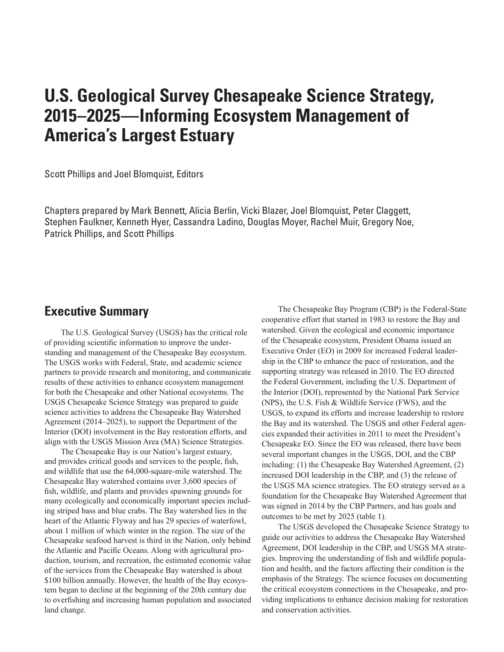## **U.S. Geological Survey Chesapeake Science Strategy, 2015–2025—Informing Ecosystem Management of America's Largest Estuary**

Scott Phillips and Joel Blomquist, Editors

Chapters prepared by Mark Bennett, Alicia Berlin, Vicki Blazer, Joel Blomquist, Peter Claggett, Stephen Faulkner, Kenneth Hyer, Cassandra Ladino, Douglas Moyer, Rachel Muir, Gregory Noe, Patrick Phillips, and Scott Phillips

## **Executive Summary**

The U.S. Geological Survey (USGS) has the critical role of providing scientific information to improve the understanding and management of the Chesapeake Bay ecosystem. The USGS works with Federal, State, and academic science partners to provide research and monitoring, and communicate results of these activities to enhance ecosystem management for both the Chesapeake and other National ecosystems. The USGS Chesapeake Science Strategy was prepared to guide science activities to address the Chesapeake Bay Watershed Agreement (2014–2025), to support the Department of the Interior (DOI) involvement in the Bay restoration efforts, and align with the USGS Mission Area (MA) Science Strategies.

The Chesapeake Bay is our Nation's largest estuary, and provides critical goods and services to the people, fish, and wildlife that use the 64,000-square-mile watershed. The Chesapeake Bay watershed contains over 3,600 species of fish, wildlife, and plants and provides spawning grounds for many ecologically and economically important species including striped bass and blue crabs. The Bay watershed lies in the heart of the Atlantic Flyway and has 29 species of waterfowl, about 1 million of which winter in the region. The size of the Chesapeake seafood harvest is third in the Nation, only behind the Atlantic and Pacific Oceans. Along with agricultural production, tourism, and recreation, the estimated economic value of the services from the Chesapeake Bay watershed is about \$100 billion annually. However, the health of the Bay ecosystem began to decline at the beginning of the 20th century due to overfishing and increasing human population and associated land change.

The Chesapeake Bay Program (CBP) is the Federal-State cooperative effort that started in 1983 to restore the Bay and watershed. Given the ecological and economic importance of the Chesapeake ecosystem, President Obama issued an Executive Order (EO) in 2009 for increased Federal leadership in the CBP to enhance the pace of restoration, and the supporting strategy was released in 2010. The EO directed the Federal Government, including the U.S. Department of the Interior (DOI), represented by the National Park Service (NPS), the U.S. Fish & Wildlife Service (FWS), and the USGS, to expand its efforts and increase leadership to restore the Bay and its watershed. The USGS and other Federal agencies expanded their activities in 2011 to meet the President's Chesapeake EO. Since the EO was released, there have been several important changes in the USGS, DOI, and the CBP including: (1) the Chesapeake Bay Watershed Agreement, (2) increased DOI leadership in the CBP, and (3) the release of the USGS MA science strategies. The EO strategy served as a foundation for the Chesapeake Bay Watershed Agreement that was signed in 2014 by the CBP Partners, and has goals and outcomes to be met by 2025 (table 1).

The USGS developed the Chesapeake Science Strategy to guide our activities to address the Chesapeake Bay Watershed Agreement, DOI leadership in the CBP, and USGS MA strategies. Improving the understanding of fish and wildlife population and health, and the factors affecting their condition is the emphasis of the Strategy. The science focuses on documenting the critical ecosystem connections in the Chesapeake, and providing implications to enhance decision making for restoration and conservation activities.